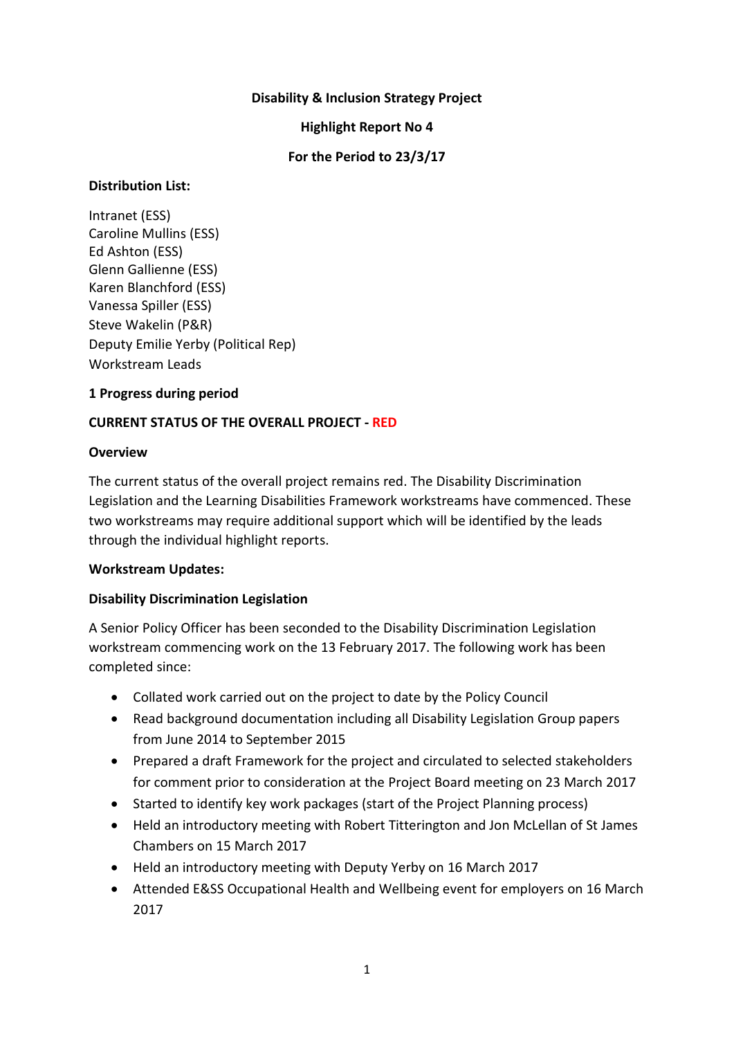### **Disability & Inclusion Strategy Project**

### **Highlight Report No 4**

### **For the Period to 23/3/17**

### **Distribution List:**

Intranet (ESS) Caroline Mullins (ESS) Ed Ashton (ESS) Glenn Gallienne (ESS) Karen Blanchford (ESS) Vanessa Spiller (ESS) Steve Wakelin (P&R) Deputy Emilie Yerby (Political Rep) Workstream Leads

### **1 Progress during period**

### **CURRENT STATUS OF THE OVERALL PROJECT - RED**

### **Overview**

The current status of the overall project remains red. The Disability Discrimination Legislation and the Learning Disabilities Framework workstreams have commenced. These two workstreams may require additional support which will be identified by the leads through the individual highlight reports.

### **Workstream Updates:**

### **Disability Discrimination Legislation**

A Senior Policy Officer has been seconded to the Disability Discrimination Legislation workstream commencing work on the 13 February 2017. The following work has been completed since:

- Collated work carried out on the project to date by the Policy Council
- Read background documentation including all Disability Legislation Group papers from June 2014 to September 2015
- Prepared a draft Framework for the project and circulated to selected stakeholders for comment prior to consideration at the Project Board meeting on 23 March 2017
- Started to identify key work packages (start of the Project Planning process)
- Held an introductory meeting with Robert Titterington and Jon McLellan of St James Chambers on 15 March 2017
- Held an introductory meeting with Deputy Yerby on 16 March 2017
- Attended E&SS Occupational Health and Wellbeing event for employers on 16 March 2017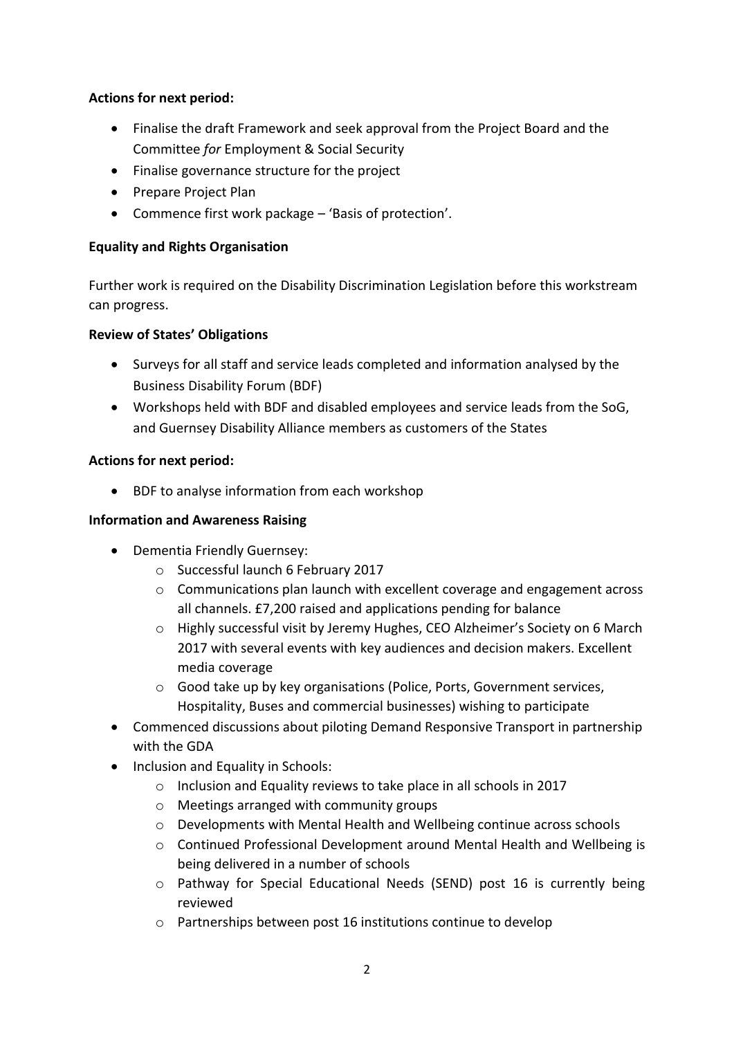# **Actions for next period:**

- Finalise the draft Framework and seek approval from the Project Board and the Committee *for* Employment & Social Security
- Finalise governance structure for the project
- Prepare Project Plan
- Commence first work package 'Basis of protection'.

# **Equality and Rights Organisation**

Further work is required on the Disability Discrimination Legislation before this workstream can progress.

### **Review of States' Obligations**

- Surveys for all staff and service leads completed and information analysed by the Business Disability Forum (BDF)
- Workshops held with BDF and disabled employees and service leads from the SoG, and Guernsey Disability Alliance members as customers of the States

### **Actions for next period:**

• BDF to analyse information from each workshop

### **Information and Awareness Raising**

- Dementia Friendly Guernsey:
	- o Successful launch 6 February 2017
	- $\circ$  Communications plan launch with excellent coverage and engagement across all channels. £7,200 raised and applications pending for balance
	- o Highly successful visit by Jeremy Hughes, CEO Alzheimer's Society on 6 March 2017 with several events with key audiences and decision makers. Excellent media coverage
	- o Good take up by key organisations (Police, Ports, Government services, Hospitality, Buses and commercial businesses) wishing to participate
- Commenced discussions about piloting Demand Responsive Transport in partnership with the GDA
- Inclusion and Equality in Schools:
	- o Inclusion and Equality reviews to take place in all schools in 2017
	- o Meetings arranged with community groups
	- o Developments with Mental Health and Wellbeing continue across schools
	- o Continued Professional Development around Mental Health and Wellbeing is being delivered in a number of schools
	- o Pathway for Special Educational Needs (SEND) post 16 is currently being reviewed
	- o Partnerships between post 16 institutions continue to develop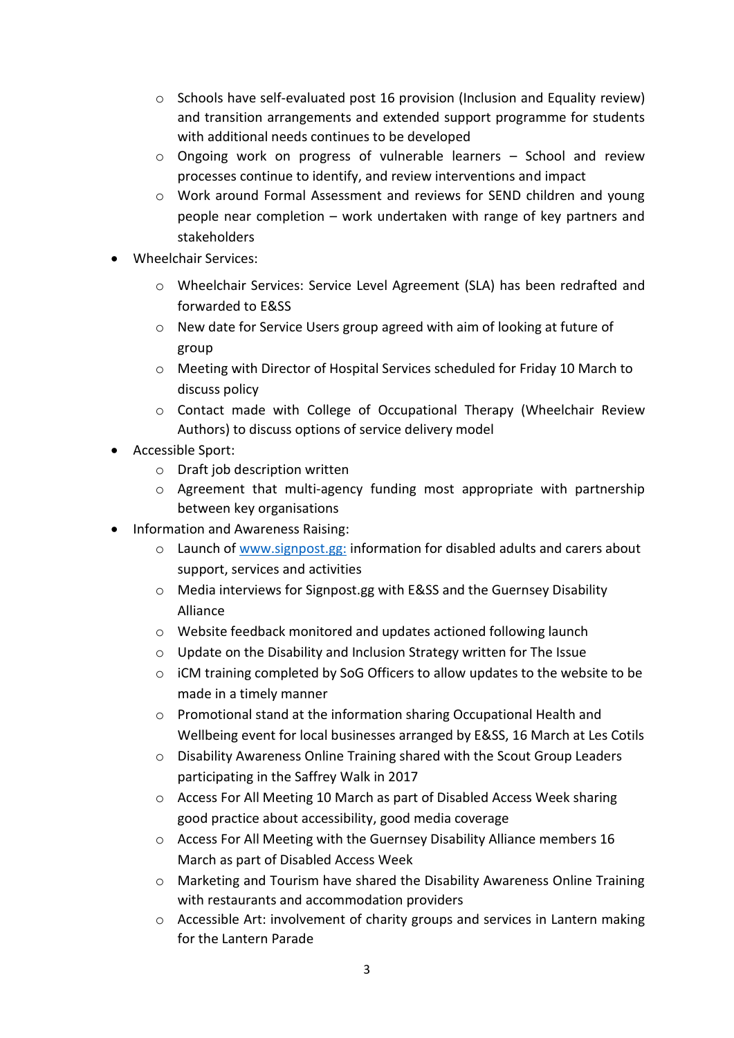- o Schools have self-evaluated post 16 provision (Inclusion and Equality review) and transition arrangements and extended support programme for students with additional needs continues to be developed
- $\circ$  Ongoing work on progress of vulnerable learners School and review processes continue to identify, and review interventions and impact
- o Work around Formal Assessment and reviews for SEND children and young people near completion – work undertaken with range of key partners and stakeholders
- Wheelchair Services:
	- o Wheelchair Services: Service Level Agreement (SLA) has been redrafted and forwarded to E&SS
	- o New date for Service Users group agreed with aim of looking at future of group
	- o Meeting with Director of Hospital Services scheduled for Friday 10 March to discuss policy
	- o Contact made with College of Occupational Therapy (Wheelchair Review Authors) to discuss options of service delivery model
- Accessible Sport:
	- o Draft job description written
	- $\circ$  Agreement that multi-agency funding most appropriate with partnership between key organisations
- Information and Awareness Raising:
	- o Launch of [www.signpost.gg:](http://www.signpost.gg/) information for disabled adults and carers about support, services and activities
	- o Media interviews for Signpost.gg with E&SS and the Guernsey Disability Alliance
	- o Website feedback monitored and updates actioned following launch
	- o Update on the Disability and Inclusion Strategy written for The Issue
	- o iCM training completed by SoG Officers to allow updates to the website to be made in a timely manner
	- o Promotional stand at the information sharing Occupational Health and Wellbeing event for local businesses arranged by E&SS, 16 March at Les Cotils
	- o Disability Awareness Online Training shared with the Scout Group Leaders participating in the Saffrey Walk in 2017
	- o Access For All Meeting 10 March as part of Disabled Access Week sharing good practice about accessibility, good media coverage
	- o Access For All Meeting with the Guernsey Disability Alliance members 16 March as part of Disabled Access Week
	- o Marketing and Tourism have shared the Disability Awareness Online Training with restaurants and accommodation providers
	- o Accessible Art: involvement of charity groups and services in Lantern making for the Lantern Parade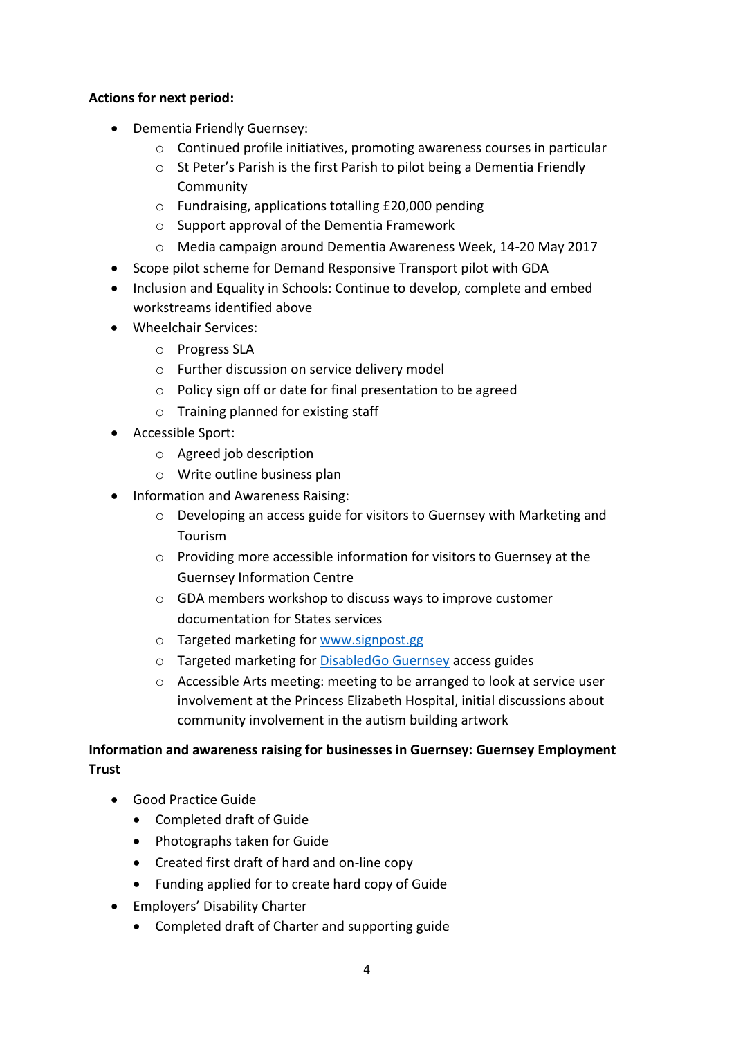# **Actions for next period:**

- Dementia Friendly Guernsey:
	- $\circ$  Continued profile initiatives, promoting awareness courses in particular
	- o St Peter's Parish is the first Parish to pilot being a Dementia Friendly **Community**
	- o Fundraising, applications totalling £20,000 pending
	- o Support approval of the Dementia Framework
	- o Media campaign around Dementia Awareness Week, 14-20 May 2017
- Scope pilot scheme for Demand Responsive Transport pilot with GDA
- Inclusion and Equality in Schools: Continue to develop, complete and embed workstreams identified above
- Wheelchair Services:
	- o Progress SLA
	- o Further discussion on service delivery model
	- o Policy sign off or date for final presentation to be agreed
	- o Training planned for existing staff
- Accessible Sport:
	- o Agreed job description
	- o Write outline business plan
- Information and Awareness Raising:
	- o Developing an access guide for visitors to Guernsey with Marketing and Tourism
	- o Providing more accessible information for visitors to Guernsey at the Guernsey Information Centre
	- o GDA members workshop to discuss ways to improve customer documentation for States services
	- o Targeted marketing for [www.signpost.gg](http://www.signpost.gg/)
	- o Targeted marketing for [DisabledGo Guernsey](http://www.disabledgo.com/organisations/guernsey/main-2) access guides
	- o Accessible Arts meeting: meeting to be arranged to look at service user involvement at the Princess Elizabeth Hospital, initial discussions about community involvement in the autism building artwork

# **Information and awareness raising for businesses in Guernsey: Guernsey Employment Trust**

- Good Practice Guide
	- Completed draft of Guide
	- Photographs taken for Guide
	- Created first draft of hard and on-line copy
	- Funding applied for to create hard copy of Guide
- Employers' Disability Charter
	- Completed draft of Charter and supporting guide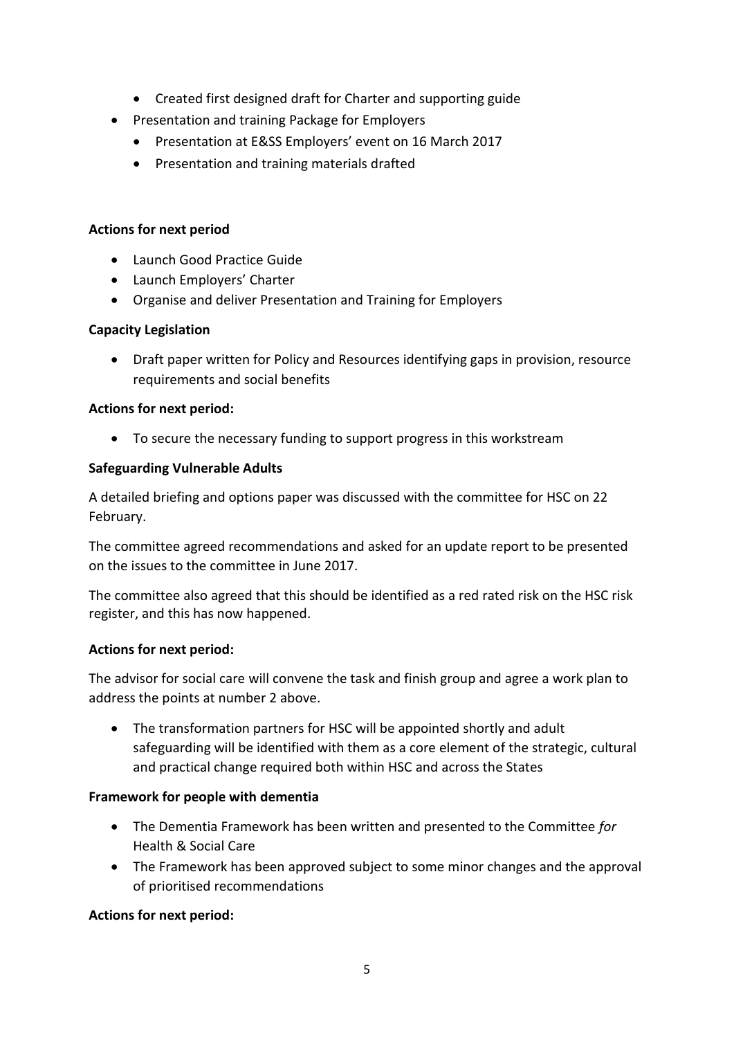- Created first designed draft for Charter and supporting guide
- Presentation and training Package for Employers
	- Presentation at E&SS Employers' event on 16 March 2017
	- Presentation and training materials drafted

### **Actions for next period**

- Launch Good Practice Guide
- Launch Employers' Charter
- Organise and deliver Presentation and Training for Employers

### **Capacity Legislation**

 Draft paper written for Policy and Resources identifying gaps in provision, resource requirements and social benefits

### **Actions for next period:**

To secure the necessary funding to support progress in this workstream

# **Safeguarding Vulnerable Adults**

A detailed briefing and options paper was discussed with the committee for HSC on 22 February.

The committee agreed recommendations and asked for an update report to be presented on the issues to the committee in June 2017.

The committee also agreed that this should be identified as a red rated risk on the HSC risk register, and this has now happened.

### **Actions for next period:**

The advisor for social care will convene the task and finish group and agree a work plan to address the points at number 2 above.

 The transformation partners for HSC will be appointed shortly and adult safeguarding will be identified with them as a core element of the strategic, cultural and practical change required both within HSC and across the States

# **Framework for people with dementia**

- The Dementia Framework has been written and presented to the Committee *for*  Health & Social Care
- The Framework has been approved subject to some minor changes and the approval of prioritised recommendations

# **Actions for next period:**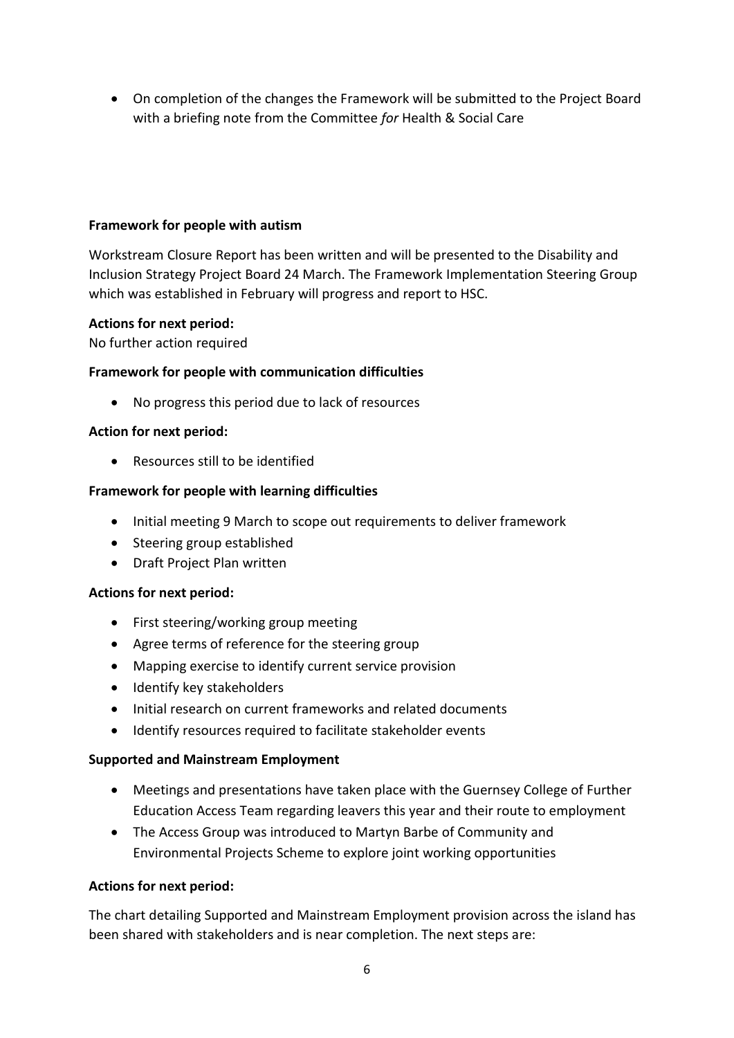On completion of the changes the Framework will be submitted to the Project Board with a briefing note from the Committee *for* Health & Social Care

# **Framework for people with autism**

Workstream Closure Report has been written and will be presented to the Disability and Inclusion Strategy Project Board 24 March. The Framework Implementation Steering Group which was established in February will progress and report to HSC.

### **Actions for next period:**

No further action required

# **Framework for people with communication difficulties**

No progress this period due to lack of resources

### **Action for next period:**

Resources still to be identified

### **Framework for people with learning difficulties**

- Initial meeting 9 March to scope out requirements to deliver framework
- Steering group established
- Draft Project Plan written

### **Actions for next period:**

- First steering/working group meeting
- Agree terms of reference for the steering group
- Mapping exercise to identify current service provision
- Identify key stakeholders
- Initial research on current frameworks and related documents
- Identify resources required to facilitate stakeholder events

### **Supported and Mainstream Employment**

- Meetings and presentations have taken place with the Guernsey College of Further Education Access Team regarding leavers this year and their route to employment
- The Access Group was introduced to Martyn Barbe of Community and Environmental Projects Scheme to explore joint working opportunities

### **Actions for next period:**

The chart detailing Supported and Mainstream Employment provision across the island has been shared with stakeholders and is near completion. The next steps are: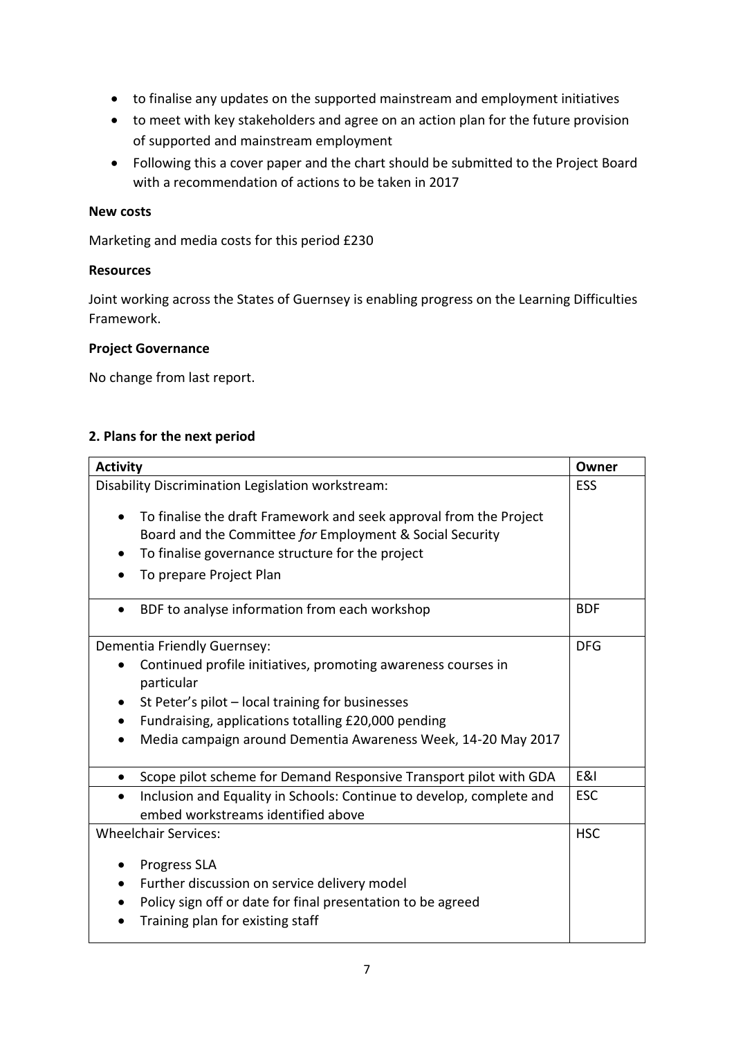- to finalise any updates on the supported mainstream and employment initiatives
- to meet with key stakeholders and agree on an action plan for the future provision of supported and mainstream employment
- Following this a cover paper and the chart should be submitted to the Project Board with a recommendation of actions to be taken in 2017

### **New costs**

Marketing and media costs for this period £230

### **Resources**

Joint working across the States of Guernsey is enabling progress on the Learning Difficulties Framework.

# **Project Governance**

No change from last report.

### **2. Plans for the next period**

| <b>Activity</b>                                                                                                                                                                                                                                                                                                  | Owner      |
|------------------------------------------------------------------------------------------------------------------------------------------------------------------------------------------------------------------------------------------------------------------------------------------------------------------|------------|
| Disability Discrimination Legislation workstream:                                                                                                                                                                                                                                                                | <b>ESS</b> |
| To finalise the draft Framework and seek approval from the Project<br>$\bullet$<br>Board and the Committee for Employment & Social Security<br>To finalise governance structure for the project<br>To prepare Project Plan<br>$\bullet$                                                                          |            |
| BDF to analyse information from each workshop<br>$\bullet$                                                                                                                                                                                                                                                       | <b>BDF</b> |
| Dementia Friendly Guernsey:<br>Continued profile initiatives, promoting awareness courses in<br>$\bullet$<br>particular<br>St Peter's pilot - local training for businesses<br>Fundraising, applications totalling £20,000 pending<br>Media campaign around Dementia Awareness Week, 14-20 May 2017<br>$\bullet$ | <b>DFG</b> |
| Scope pilot scheme for Demand Responsive Transport pilot with GDA<br>$\bullet$                                                                                                                                                                                                                                   | E&I        |
| Inclusion and Equality in Schools: Continue to develop, complete and<br>$\bullet$<br>embed workstreams identified above                                                                                                                                                                                          | <b>ESC</b> |
| <b>Wheelchair Services:</b><br><b>Progress SLA</b><br>Further discussion on service delivery model<br>Policy sign off or date for final presentation to be agreed<br>Training plan for existing staff                                                                                                            | <b>HSC</b> |